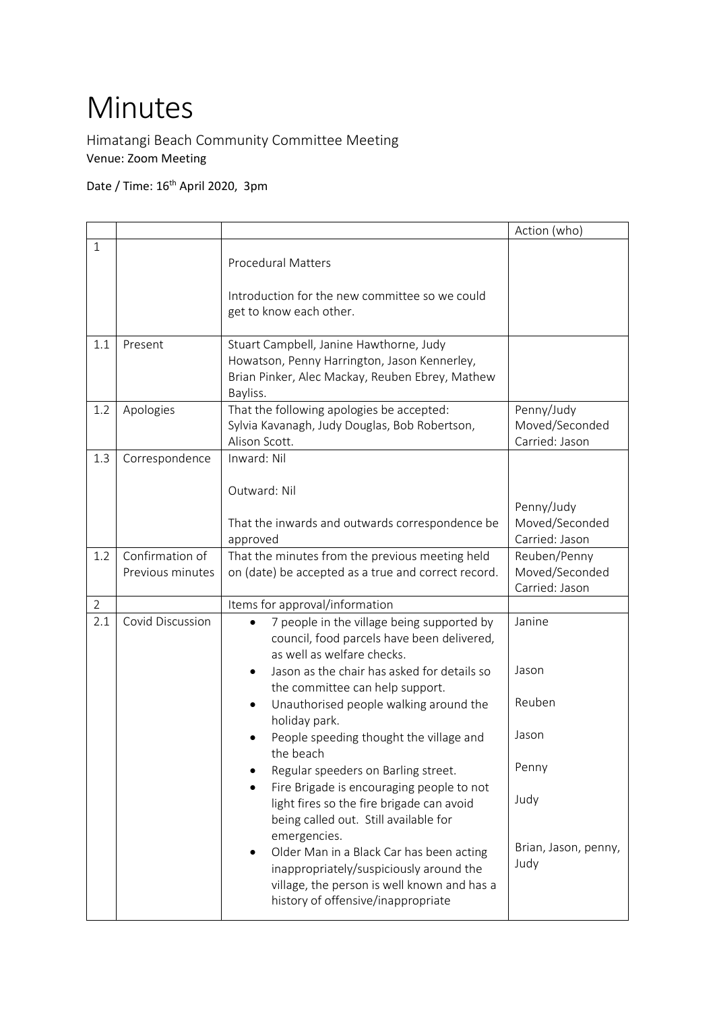## Minutes

Himatangi Beach Community Committee Meeting Venue: Zoom Meeting

Date / Time: 16<sup>th</sup> April 2020, 3pm

|                |                                     |                                                                                                                                                                       | Action (who)                                     |
|----------------|-------------------------------------|-----------------------------------------------------------------------------------------------------------------------------------------------------------------------|--------------------------------------------------|
| $\mathbf{1}$   |                                     | <b>Procedural Matters</b>                                                                                                                                             |                                                  |
|                |                                     | Introduction for the new committee so we could<br>get to know each other.                                                                                             |                                                  |
| 1.1            | Present                             | Stuart Campbell, Janine Hawthorne, Judy<br>Howatson, Penny Harrington, Jason Kennerley,<br>Brian Pinker, Alec Mackay, Reuben Ebrey, Mathew<br>Bayliss.                |                                                  |
| 1.2            | Apologies                           | That the following apologies be accepted:<br>Sylvia Kavanagh, Judy Douglas, Bob Robertson,<br>Alison Scott.                                                           | Penny/Judy<br>Moved/Seconded<br>Carried: Jason   |
| 1.3            | Correspondence                      | Inward: Nil<br>Outward: Nil                                                                                                                                           | Penny/Judy                                       |
|                |                                     | That the inwards and outwards correspondence be<br>approved                                                                                                           | Moved/Seconded<br>Carried: Jason                 |
| 1.2            | Confirmation of<br>Previous minutes | That the minutes from the previous meeting held<br>on (date) be accepted as a true and correct record.                                                                | Reuben/Penny<br>Moved/Seconded<br>Carried: Jason |
| $\overline{2}$ |                                     | Items for approval/information                                                                                                                                        |                                                  |
| 2.1            | Covid Discussion                    | 7 people in the village being supported by<br>council, food parcels have been delivered,<br>as well as welfare checks.<br>Jason as the chair has asked for details so | Janine<br>Jason                                  |
|                |                                     | the committee can help support.<br>Unauthorised people walking around the<br>$\bullet$<br>holiday park.                                                               | Reuben                                           |
|                |                                     | People speeding thought the village and<br>the beach                                                                                                                  | Jason                                            |
|                |                                     | Regular speeders on Barling street.<br>Fire Brigade is encouraging people to not                                                                                      | Penny                                            |
|                |                                     | light fires so the fire brigade can avoid<br>being called out. Still available for<br>emergencies.<br>Older Man in a Black Car has been acting                        | Judy<br>Brian, Jason, penny,                     |
|                |                                     | inappropriately/suspiciously around the<br>village, the person is well known and has a<br>history of offensive/inappropriate                                          | Judy                                             |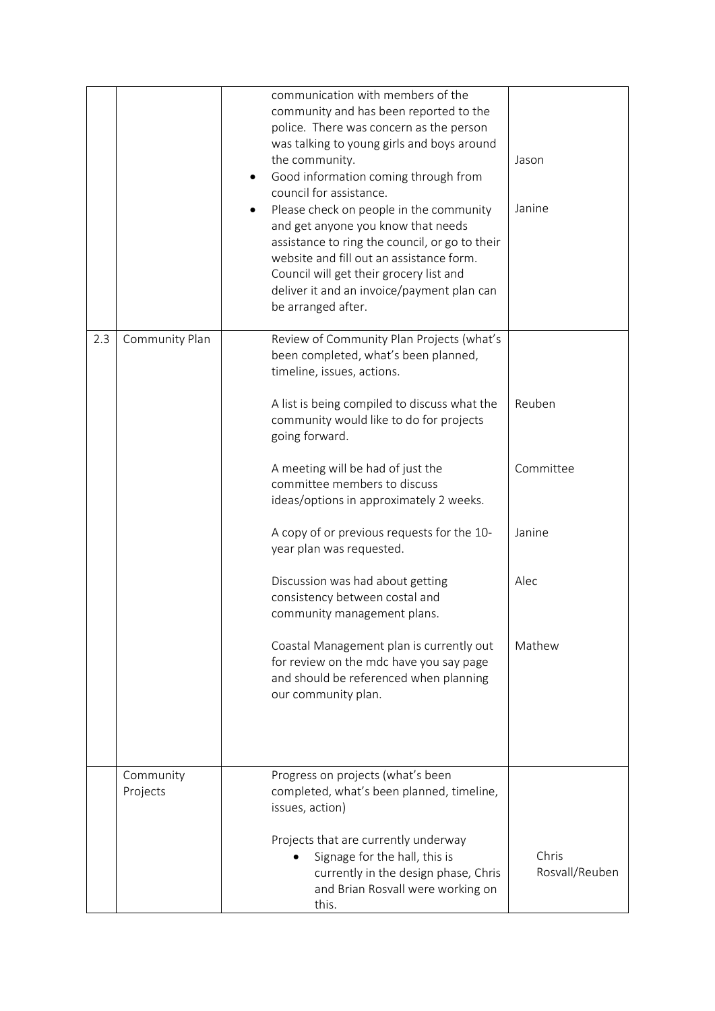|     |                       | communication with members of the<br>community and has been reported to the<br>police. There was concern as the person<br>was talking to young girls and boys around<br>the community.<br>Good information coming through from<br>council for assistance.<br>Please check on people in the community<br>٠<br>and get anyone you know that needs | Jason<br>Janine         |
|-----|-----------------------|-------------------------------------------------------------------------------------------------------------------------------------------------------------------------------------------------------------------------------------------------------------------------------------------------------------------------------------------------|-------------------------|
|     |                       | assistance to ring the council, or go to their<br>website and fill out an assistance form.<br>Council will get their grocery list and<br>deliver it and an invoice/payment plan can<br>be arranged after.                                                                                                                                       |                         |
| 2.3 | Community Plan        | Review of Community Plan Projects (what's<br>been completed, what's been planned,<br>timeline, issues, actions.                                                                                                                                                                                                                                 |                         |
|     |                       | A list is being compiled to discuss what the<br>community would like to do for projects<br>going forward.                                                                                                                                                                                                                                       | Reuben                  |
|     |                       | A meeting will be had of just the<br>committee members to discuss<br>ideas/options in approximately 2 weeks.                                                                                                                                                                                                                                    | Committee               |
|     |                       | A copy of or previous requests for the 10-<br>year plan was requested.                                                                                                                                                                                                                                                                          | Janine                  |
|     |                       | Discussion was had about getting<br>consistency between costal and<br>community management plans.                                                                                                                                                                                                                                               | Alec                    |
|     |                       | Coastal Management plan is currently out<br>for review on the mdc have you say page<br>and should be referenced when planning<br>our community plan.                                                                                                                                                                                            | Mathew                  |
|     | Community<br>Projects | Progress on projects (what's been<br>completed, what's been planned, timeline,<br>issues, action)                                                                                                                                                                                                                                               |                         |
|     |                       | Projects that are currently underway<br>Signage for the hall, this is<br>currently in the design phase, Chris<br>and Brian Rosvall were working on<br>this.                                                                                                                                                                                     | Chris<br>Rosvall/Reuben |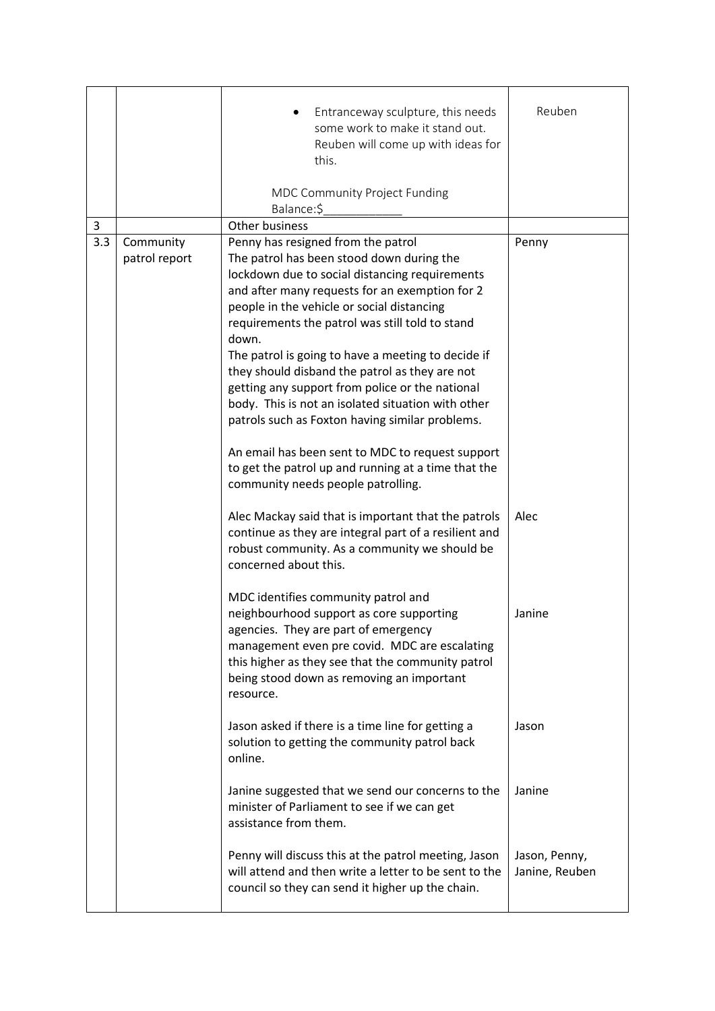|     |                            | Entranceway sculpture, this needs<br>some work to make it stand out.<br>Reuben will come up with ideas for<br>this.                                                                                                                                                                     | Reuben                          |
|-----|----------------------------|-----------------------------------------------------------------------------------------------------------------------------------------------------------------------------------------------------------------------------------------------------------------------------------------|---------------------------------|
|     |                            | MDC Community Project Funding<br>Balance:\$                                                                                                                                                                                                                                             |                                 |
| 3   |                            | Other business                                                                                                                                                                                                                                                                          |                                 |
| 3.3 | Community<br>patrol report | Penny has resigned from the patrol<br>The patrol has been stood down during the<br>lockdown due to social distancing requirements                                                                                                                                                       | Penny                           |
|     |                            | and after many requests for an exemption for 2<br>people in the vehicle or social distancing<br>requirements the patrol was still told to stand<br>down.                                                                                                                                |                                 |
|     |                            | The patrol is going to have a meeting to decide if<br>they should disband the patrol as they are not<br>getting any support from police or the national<br>body. This is not an isolated situation with other<br>patrols such as Foxton having similar problems.                        |                                 |
|     |                            | An email has been sent to MDC to request support<br>to get the patrol up and running at a time that the<br>community needs people patrolling.                                                                                                                                           |                                 |
|     |                            | Alec Mackay said that is important that the patrols<br>continue as they are integral part of a resilient and<br>robust community. As a community we should be<br>concerned about this.                                                                                                  | Alec                            |
|     |                            | MDC identifies community patrol and<br>neighbourhood support as core supporting<br>agencies. They are part of emergency<br>management even pre covid. MDC are escalating<br>this higher as they see that the community patrol<br>being stood down as removing an important<br>resource. | Janine                          |
|     |                            | Jason asked if there is a time line for getting a<br>solution to getting the community patrol back<br>online.                                                                                                                                                                           | Jason                           |
|     |                            | Janine suggested that we send our concerns to the<br>minister of Parliament to see if we can get<br>assistance from them.                                                                                                                                                               | Janine                          |
|     |                            | Penny will discuss this at the patrol meeting, Jason<br>will attend and then write a letter to be sent to the<br>council so they can send it higher up the chain.                                                                                                                       | Jason, Penny,<br>Janine, Reuben |